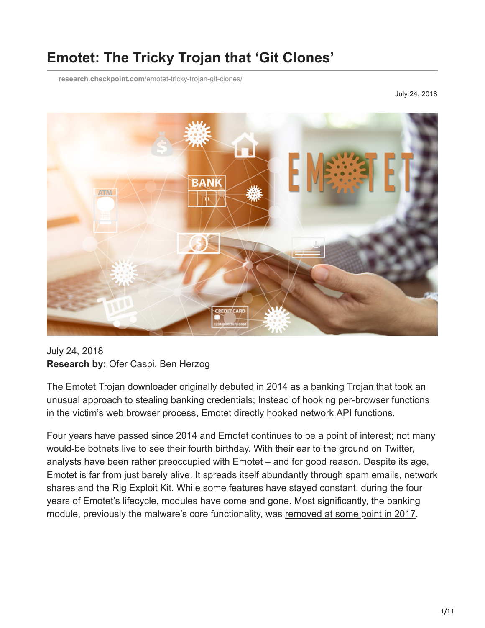# **Emotet: The Tricky Trojan that 'Git Clones'**

**research.checkpoint.com**[/emotet-tricky-trojan-git-clones/](https://research.checkpoint.com/emotet-tricky-trojan-git-clones/)

July 24, 2018



July 24, 2018 **Research by:** Ofer Caspi, Ben Herzog

The Emotet Trojan downloader originally debuted in 2014 as a banking Trojan that took an unusual approach to stealing banking credentials; Instead of hooking per-browser functions in the victim's web browser process, Emotet directly hooked network API functions.

Four years have passed since 2014 and Emotet continues to be a point of interest; not many would-be botnets live to see their fourth birthday. With their ear to the ground on Twitter, analysts have been rather preoccupied with Emotet – and for good reason. Despite its age, Emotet is far from just barely alive. It spreads itself abundantly through spam emails, network shares and the Rig Exploit Kit. While some features have stayed constant, during the four years of Emotet's lifecycle, modules have come and gone. Most significantly, the banking module, previously the malware's core functionality, was [removed at some point in 2017.](https://www.cert.pl/en/news/single/analysis-of-emotet-v4/)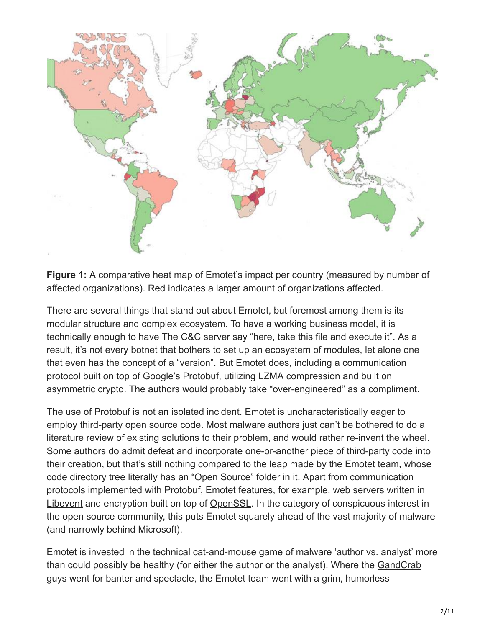

**Figure 1:** A comparative heat map of Emotet's impact per country (measured by number of affected organizations). Red indicates a larger amount of organizations affected.

There are several things that stand out about Emotet, but foremost among them is its modular structure and complex ecosystem. To have a working business model, it is technically enough to have The C&C server say "here, take this file and execute it". As a result, it's not every botnet that bothers to set up an ecosystem of modules, let alone one that even has the concept of a "version". But Emotet does, including a communication protocol built on top of Google's Protobuf, utilizing LZMA compression and built on asymmetric crypto. The authors would probably take "over-engineered" as a compliment.

The use of Protobuf is not an isolated incident. Emotet is uncharacteristically eager to employ third-party open source code. Most malware authors just can't be bothered to do a literature review of existing solutions to their problem, and would rather re-invent the wheel. Some authors do admit defeat and incorporate one-or-another piece of third-party code into their creation, but that's still nothing compared to the leap made by the Emotet team, whose code directory tree literally has an "Open Source" folder in it. Apart from communication protocols implemented with Protobuf, Emotet features, for example, web servers written in [Libevent](https://github.com/libevent/libevent) and encryption built on top of [OpenSSL](https://github.com/openssl/openssl). In the category of conspicuous interest in the open source community, this puts Emotet squarely ahead of the vast majority of malware (and narrowly behind Microsoft).

Emotet is invested in the technical cat-and-mouse game of malware 'author vs. analyst' more than could possibly be healthy (for either the author or the analyst). Where the [GandCrab](https://research.checkpoint.com/gandcrab-ransomware-mindset/) guys went for banter and spectacle, the Emotet team went with a grim, humorless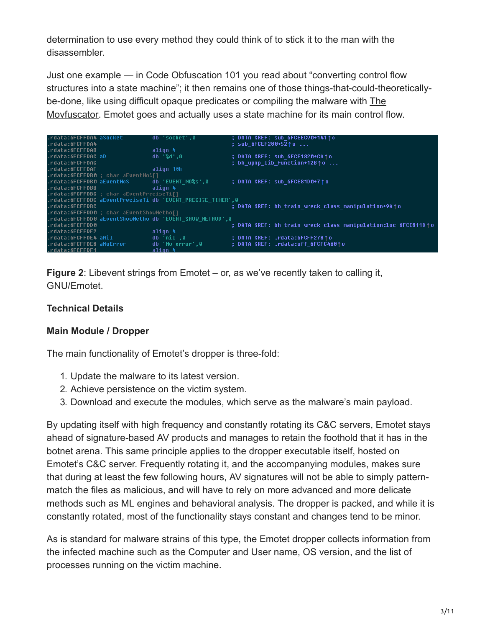determination to use every method they could think of to stick it to the man with the disassembler.

Just one example — in Code Obfuscation 101 you read about "converting control flow structures into a state machine"; it then remains one of those things-that-could-theoreticallybe-done, like using difficult opaque predicates or compiling the malware with The [Movfuscator. Emotet goes and actually uses a state machine for its main control f](https://github.com/xoreaxeaxeax/movfuscator)low.

| .rdata:6FCFFDA4 aSocket  |                                          | db 'socket',0                                              | ; DATA XREF: sub 6FCEEC90+141↑o                               |
|--------------------------|------------------------------------------|------------------------------------------------------------|---------------------------------------------------------------|
| .rdata:6FCFFDA4          |                                          |                                                            | : sub 6FCEF280+5210                                           |
| .rdata:6FCFFDAB          |                                          | align 4                                                    |                                                               |
| .rdata:6FCFFDAC aD       |                                          | db '%d'.0                                                  | : DATA XREF: sub 6FCF1820+CA1o                                |
| .rdata:6FCFFDAC          |                                          |                                                            | ; bh upnp lib function+12B $\uparrow$ o                       |
| .rdata:6FCFFDAF          |                                          | align 10h                                                  |                                                               |
|                          | .rdata:6FCFFDB0 ; char aEventNoS[]       |                                                            |                                                               |
|                          |                                          | .rdata:6FCFFDB0 aEventNoS db 'EVENT NO%s',0                | : DATA XREF: sub 6FCE81D0+7↑o                                 |
| .rdata:6FCFFDBB          |                                          | align 4                                                    |                                                               |
|                          | .rdata:6FCFFDBC ; char aEventPreciseTi[] |                                                            |                                                               |
|                          |                                          | .rdata:6FCFFDBC aEventPreciseTi db 'EVENT PRECISE TIMER'.0 |                                                               |
| .rdata:6FCFFDBC          |                                          |                                                            | ; DATA XREF: bh train wreck class manipulation+9A↑o           |
|                          | .rdata:6FCFFDD0; char aEventShowMetho[]  |                                                            |                                                               |
|                          |                                          | .rdata:6FCFFDD0 aEventShowMetho db 'EVENT SHOW METHOD',0   |                                                               |
| .rdata:6FCFFDD0          |                                          |                                                            | ; DATA XREF: bh train wreck class manipulation:loc 6FCE811D↑o |
| .rdata:6FCFFDE2          |                                          | align 4                                                    |                                                               |
| .rdata:6FCFFDE4 aNil     |                                          | db 'nil'.0                                                 | ; DATA XREF: .rdata:6FCFF278↑o                                |
| .rdata:6FCFFDE8 aNoError |                                          | db 'No error'.0                                            | : DATA XREF: .rdata:off 6FCFC460^o                            |
| .rdata:6FCFFDF1          |                                          | align 4                                                    |                                                               |

**Figure 2**: Libevent strings from Emotet – or, as we've recently taken to calling it, GNU/Emotet.

## **Technical Details**

#### **Main Module / Dropper**

The main functionality of Emotet's dropper is three-fold:

- 1. Update the malware to its latest version.
- 2. Achieve persistence on the victim system.
- 3. Download and execute the modules, which serve as the malware's main payload.

By updating itself with high frequency and constantly rotating its C&C servers, Emotet stays ahead of signature-based AV products and manages to retain the foothold that it has in the botnet arena. This same principle applies to the dropper executable itself, hosted on Emotet's C&C server. Frequently rotating it, and the accompanying modules, makes sure that during at least the few following hours, AV signatures will not be able to simply patternmatch the files as malicious, and will have to rely on more advanced and more delicate methods such as ML engines and behavioral analysis. The dropper is packed, and while it is constantly rotated, most of the functionality stays constant and changes tend to be minor.

As is standard for malware strains of this type, the Emotet dropper collects information from the infected machine such as the Computer and User name, OS version, and the list of processes running on the victim machine.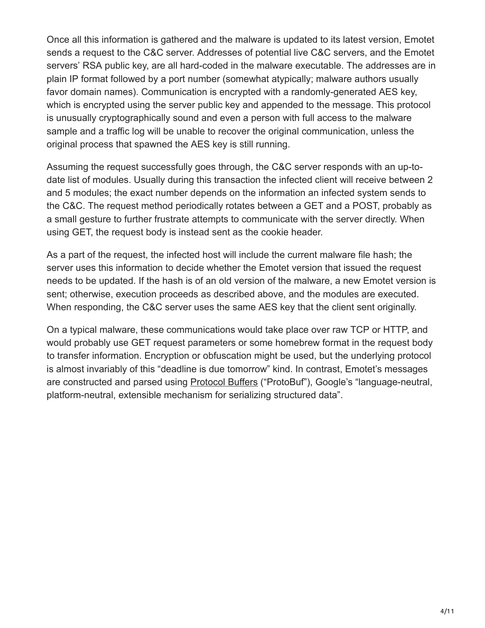Once all this information is gathered and the malware is updated to its latest version, Emotet sends a request to the C&C server. Addresses of potential live C&C servers, and the Emotet servers' RSA public key, are all hard-coded in the malware executable. The addresses are in plain IP format followed by a port number (somewhat atypically; malware authors usually favor domain names). Communication is encrypted with a randomly-generated AES key, which is encrypted using the server public key and appended to the message. This protocol is unusually cryptographically sound and even a person with full access to the malware sample and a traffic log will be unable to recover the original communication, unless the original process that spawned the AES key is still running.

Assuming the request successfully goes through, the C&C server responds with an up-todate list of modules. Usually during this transaction the infected client will receive between 2 and 5 modules; the exact number depends on the information an infected system sends to the C&C. The request method periodically rotates between a GET and a POST, probably as a small gesture to further frustrate attempts to communicate with the server directly. When using GET, the request body is instead sent as the cookie header.

As a part of the request, the infected host will include the current malware file hash; the server uses this information to decide whether the Emotet version that issued the request needs to be updated. If the hash is of an old version of the malware, a new Emotet version is sent; otherwise, execution proceeds as described above, and the modules are executed. When responding, the C&C server uses the same AES key that the client sent originally.

On a typical malware, these communications would take place over raw TCP or HTTP, and would probably use GET request parameters or some homebrew format in the request body to transfer information. Encryption or obfuscation might be used, but the underlying protocol is almost invariably of this "deadline is due tomorrow" kind. In contrast, Emotet's messages are constructed and parsed using [Protocol Buffers](https://developers.google.com/protocol-buffers/) ("ProtoBuf"), Google's "language-neutral, platform-neutral, extensible mechanism for serializing structured data".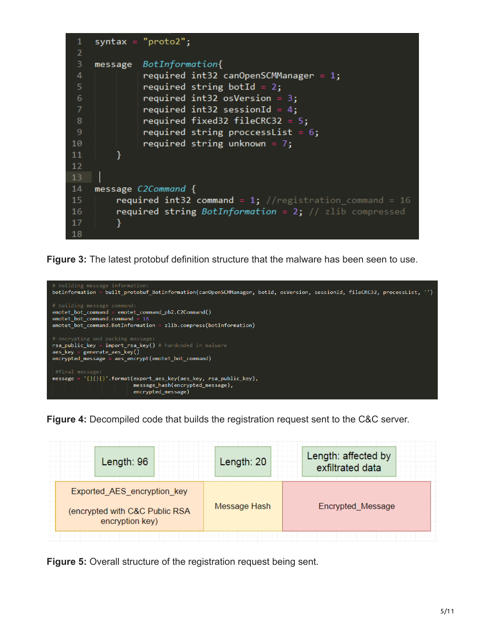```
\mathbf{1}syntax = "proto2";\overline{2}3
              BotInformation{
    message
              required int32 canOpenSCMManager = 1;
 \overline{4}5
              required string botId = 2;
 6
              required int32 osVersion = 3;
              required int32 sessionId = 4;
 8
              required fixed32 fileCRC32 = 5;9
              required string proccesslist = 6;
10
              required string unknown = 7;
11
         γ
1213
14
    message C2Command {
         required int32 command = 1; //registration_command = 16
15
         required string BotInformation = 2; // zlib compressed
16
17
         }
18
```
**Figure 3:** The latest protobuf definition structure that the malware has been seen to use.



**Figure 4:** Decompiled code that builds the registration request sent to the C&C server.

| Length: $96$                                                                     | Length: 20   | Length: affected by<br>exfiltrated data |
|----------------------------------------------------------------------------------|--------------|-----------------------------------------|
| Exported_AES_encryption_key<br>(encrypted with C&C Public RSA<br>encryption key) | Message Hash | Encrypted Message                       |

**Figure 5:** Overall structure of the registration request being sent.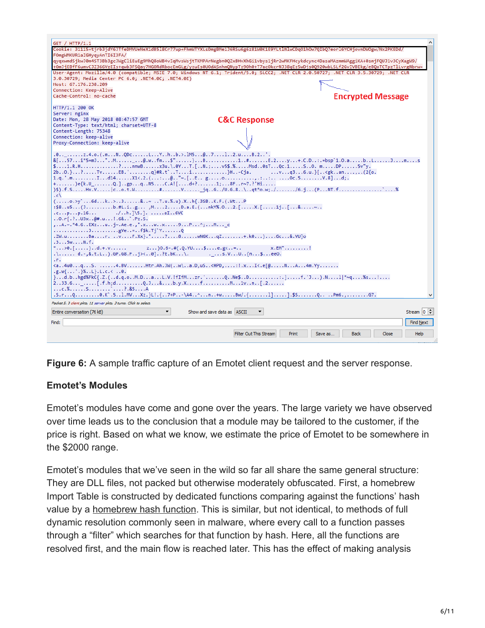

**Figure 6:** A sample traffic capture of an Emotet client request and the server response.

# **Emotet's Modules**

Emotet's modules have come and gone over the years. The large variety we have observed over time leads us to the conclusion that a module may be tailored to the customer, if the price is right. Based on what we know, we estimate the price of Emotet to be somewhere in the \$2000 range.

Emotet's modules that we've seen in the wild so far all share the same general structure: They are DLL files, not packed but otherwise moderately obfuscated. First, a homebrew Import Table is constructed by dedicated functions comparing against the functions' hash value by a [homebrew hash function.](https://gist.github.com/psrok1/5a67c3306080f62969e8d0e63a988b4e) This is similar, but not identical, to methods of full dynamic resolution commonly seen in malware, where every call to a function passes through a "filter" which searches for that function by hash. Here, all the functions are resolved first, and the main flow is reached later. This has the effect of making analysis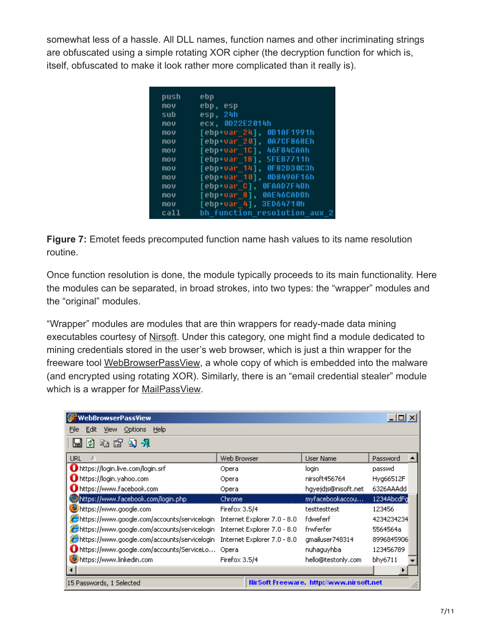somewhat less of a hassle. All DLL names, function names and other incriminating strings are obfuscated using a simple rotating XOR cipher (the decryption function for which is, itself, obfuscated to make it look rather more complicated than it really is).

| push | ebp                                   |
|------|---------------------------------------|
| mov  | ebp,<br>esp                           |
| sub  | 24h<br>esp.                           |
| mov  | 0022E2014h<br>ecx.                    |
| mov  | [ebp+var 24],<br>0B1AF1991h           |
| mov  | 0A7CF868Eh<br>[ebp+var 20],           |
| mov  | 46F84CAAh<br>[ebp+var 1C].            |
| mov  | [ebp+var 18],<br><b>5FEB7711h</b>     |
| mov  | 0F82D30C3h<br>[ebp+var 14],           |
| mov  | 00849AF16h<br>[ebp+var_10],           |
| mov  | OFAAD7F4Bh<br>[ebp+var C]             |
| mov  | 0AE46CADBh<br>[ebp+var 81.            |
| mov  | [ebp+var 4],<br>3ED64710h             |
| call | bh function<br>resolution<br>2<br>aux |
|      |                                       |

**Figure 7:** Emotet feeds precomputed function name hash values to its name resolution routine.

Once function resolution is done, the module typically proceeds to its main functionality. Here the modules can be separated, in broad strokes, into two types: the "wrapper" modules and the "original" modules.

"Wrapper" modules are modules that are thin wrappers for ready-made data mining executables courtesy of [Nirsoft](https://www.nirsoft.net/). Under this category, one might find a module dedicated to mining credentials stored in the user's web browser, which is just a thin wrapper for the freeware tool [WebBrowserPassView,](https://www.nirsoft.net/utils/web_browser_password.html) a whole copy of which is embedded into the malware (and encrypted using rotating XOR). Similarly, there is an "email credential stealer" module which is a wrapper for [MailPassView.](https://www.nirsoft.net/utils/mailpv.html)

| WebBrowserPassView                                                    |                             |                     |            |  |
|-----------------------------------------------------------------------|-----------------------------|---------------------|------------|--|
| Edit<br><b>Options</b><br>Help<br><b>View</b><br>File                 |                             |                     |            |  |
| $n \in \mathbb{Z}$<br>$\mathbf{N}$ - $\mathbf{N}$<br>M                |                             |                     |            |  |
| <b>URL</b>                                                            | Web Browser                 | <b>User Name</b>    | Password   |  |
| https://login.live.com/login.srf                                      | Opera                       | login               | passwd     |  |
| https://login.yahoo.com                                               | Opera                       | nirsoft456764       | Hyg66512F  |  |
| https://www.facebook.com                                              | Opera                       | hgyejdjs@nisoft.net | 6326AAAdd  |  |
| https://www.facebook.com/login.php                                    | Chrome                      | myfacebookaccou     | 1234AbcdFg |  |
| https://www.google.com                                                | Firefox 3.5/4               | testtesttest        | 123456     |  |
| https://www.google.com/accounts/servicelogin                          | Internet Explorer 7.0 - 8.0 | fdweferf            | 4234234234 |  |
| https://www.google.com/accounts/servicelogin                          | Internet Explorer 7.0 - 8.0 | frwferfer           | 5564564a   |  |
| https://www.google.com/accounts/servicelogin                          | Internet Explorer 7.0 - 8.0 | gmailuser748314     | 8996845906 |  |
| https://www.google.com/accounts/ServiceLo                             | Opera                       | nuhaguyhba          | 123456789  |  |
| https://www.linkedin.com                                              | Firefox 3.5/4               | hello@testonly.com  | bhy6711    |  |
|                                                                       |                             |                     |            |  |
| Hir Soft Freeware. http://www.nirsoft.net<br>15 Passwords, 1 Selected |                             |                     |            |  |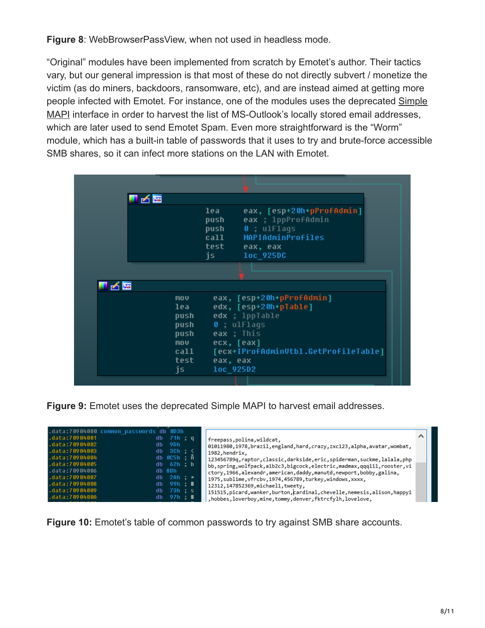**Figure 8**: WebBrowserPassView, when not used in headless mode.

"Original" modules have been implemented from scratch by Emotet's author. Their tactics vary, but our general impression is that most of these do not directly subvert / monetize the victim (as do miners, backdoors, ransomware, etc), and are instead aimed at getting more [people infected with Emotet. For instance, one of the modules uses the deprecated Simple](https://msdn.microsoft.com/en-us/library/windows/desktop/dd296728(v=vs.85).aspx) MAPI interface in order to harvest the list of MS-Outlook's locally stored email addresses, which are later used to send Emotet Spam. Even more straightforward is the "Worm" module, which has a built-in table of passwords that it uses to try and brute-force accessible SMB shares, so it can infect more stations on the LAN with Emotet.

| ▮◢▩                              |                                                                                                                                                       |                                                                                                                     |
|----------------------------------|-------------------------------------------------------------------------------------------------------------------------------------------------------|---------------------------------------------------------------------------------------------------------------------|
|                                  | lea<br>push<br>push<br>call and the call the set of the set of the set of the set of the set of the set of the set of the set of the s<br>test<br>is. | eax, [esp+20h+pProfAdmin]<br>eax ; 1ppProfAdmin<br>$\theta$ ; ulFlaqs<br>MAPIAdminProfiles<br>eax, eax<br>loc 925DC |
|                                  |                                                                                                                                                       |                                                                                                                     |
| 子语                               |                                                                                                                                                       |                                                                                                                     |
| $\mathbf{m}\mathbf{0}\mathbf{U}$ |                                                                                                                                                       | eax, [esp+20h+pProfAdmin]                                                                                           |
| lea -                            |                                                                                                                                                       | edx, [esp+20h+pTable]                                                                                               |
| push                             |                                                                                                                                                       | edx ; 1ppTable                                                                                                      |
| push                             |                                                                                                                                                       | 0 ; ulFlags                                                                                                         |
| <b>push</b>                      |                                                                                                                                                       | eax ; This                                                                                                          |
| $\mathbf{m}\mathbf{0}\mathbf{v}$ |                                                                                                                                                       | ecx, [eax]                                                                                                          |
| ca11                             |                                                                                                                                                       | [ecx+IProfAdminUtbl.GetProfileTable]                                                                                |
| test                             | eax, eax                                                                                                                                              |                                                                                                                     |
| js.                              |                                                                                                                                                       | loc_925D2                                                                                                           |

**Figure 9:** Emotet uses the deprecated Simple MAPI to harvest email addresses.

**Figure 10:** Emotet's table of common passwords to try against SMB share accounts.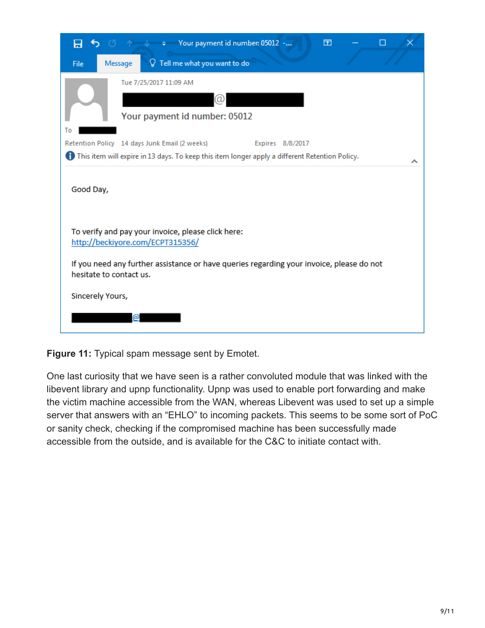| S O n + 7 Your payment id number: 05012 -<br>囨<br>8                                                                                                                 |  |
|---------------------------------------------------------------------------------------------------------------------------------------------------------------------|--|
| $\mathcal Q$ Tell me what you want to do<br>Message<br>File                                                                                                         |  |
| Tue 7/25/2017 11:09 AM                                                                                                                                              |  |
| (α)                                                                                                                                                                 |  |
| Your payment id number: 05012                                                                                                                                       |  |
| Тο                                                                                                                                                                  |  |
| Retention Policy 14 days Junk Email (2 weeks)<br>Expires 8/8/2017<br>This item will expire in 13 days. To keep this item longer apply a different Retention Policy. |  |
| Good Day,                                                                                                                                                           |  |
| To verify and pay your invoice, please click here:<br>http://beckiyore.com/ECPT315356/                                                                              |  |
| If you need any further assistance or have queries regarding your invoice, please do not<br>hesitate to contact us.                                                 |  |
| Sincerely Yours,                                                                                                                                                    |  |
| @                                                                                                                                                                   |  |

**Figure 11:** Typical spam message sent by Emotet.

One last curiosity that we have seen is a rather convoluted module that was linked with the libevent library and upnp functionality. Upnp was used to enable port forwarding and make the victim machine accessible from the WAN, whereas Libevent was used to set up a simple server that answers with an "EHLO" to incoming packets. This seems to be some sort of PoC or sanity check, checking if the compromised machine has been successfully made accessible from the outside, and is available for the C&C to initiate contact with.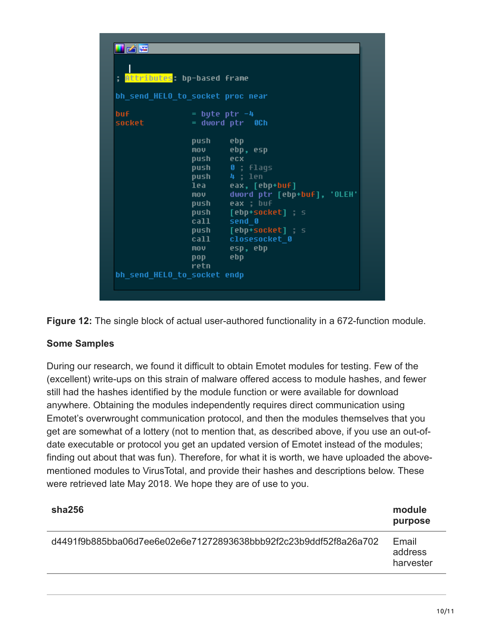|                | ; <mark>Attributes</mark> : bp-based frame                                                                              |                                                                                                                                                                                                                   |
|----------------|-------------------------------------------------------------------------------------------------------------------------|-------------------------------------------------------------------------------------------------------------------------------------------------------------------------------------------------------------------|
|                | bh send_HELO_to_socket proc near                                                                                        |                                                                                                                                                                                                                   |
| buf.<br>socket | $=$ byte ptr $-4$                                                                                                       | = dword ptr 0Ch                                                                                                                                                                                                   |
|                | push ebp<br>push ecx<br>$\overline{m}$ oversity<br>call send_0<br>$\mathbf{pop}$<br>retn<br>bh_send_HELO_to_socket_endp | mov ebp, esp<br>push 0; flags<br>push 4; len<br>lea eax, [ebp+buf]<br>dword ptr [ebp+buf], 'OLEH'<br>push eax ; buf<br>push [ebp+socket]; s<br>push [ebp+socket] ; s<br>call closesocket 0<br>mov esp, ebp<br>ebp |

**Figure 12:** The single block of actual user-authored functionality in a 672-function module.

# **Some Samples**

During our research, we found it difficult to obtain Emotet modules for testing. Few of the (excellent) write-ups on this strain of malware offered access to module hashes, and fewer still had the hashes identified by the module function or were available for download anywhere. Obtaining the modules independently requires direct communication using Emotet's overwrought communication protocol, and then the modules themselves that you get are somewhat of a lottery (not to mention that, as described above, if you use an out-ofdate executable or protocol you get an updated version of Emotet instead of the modules; finding out about that was fun). Therefore, for what it is worth, we have uploaded the abovementioned modules to VirusTotal, and provide their hashes and descriptions below. These were retrieved late May 2018. We hope they are of use to you.

| sha256                                                           | module<br>purpose             |
|------------------------------------------------------------------|-------------------------------|
| d4491f9b885bba06d7ee6e02e6e71272893638bbb92f2c23b9ddf52f8a26a702 | Email<br>address<br>harvester |